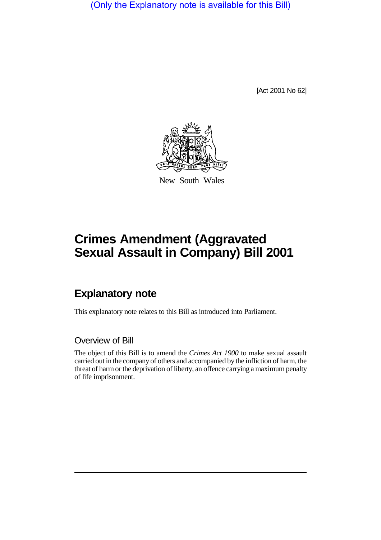(Only the Explanatory note is available for this Bill)

[Act 2001 No 62]



New South Wales

# **Crimes Amendment (Aggravated Sexual Assault in Company) Bill 2001**

## **Explanatory note**

This explanatory note relates to this Bill as introduced into Parliament.

#### Overview of Bill

The object of this Bill is to amend the *Crimes Act 1900* to make sexual assault carried out in the company of others and accompanied by the infliction of harm, the threat of harm or the deprivation of liberty, an offence carrying a maximum penalty of life imprisonment.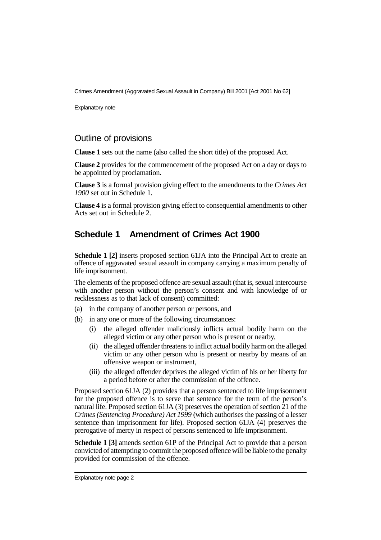Crimes Amendment (Aggravated Sexual Assault in Company) Bill 2001 [Act 2001 No 62]

Explanatory note

#### Outline of provisions

**Clause 1** sets out the name (also called the short title) of the proposed Act.

**Clause 2** provides for the commencement of the proposed Act on a day or days to be appointed by proclamation.

**Clause 3** is a formal provision giving effect to the amendments to the *Crimes Act 1900* set out in Schedule 1.

**Clause 4** is a formal provision giving effect to consequential amendments to other Acts set out in Schedule 2.

#### **Schedule 1 Amendment of Crimes Act 1900**

**Schedule 1 [2]** inserts proposed section 61JA into the Principal Act to create an offence of aggravated sexual assault in company carrying a maximum penalty of life imprisonment.

The elements of the proposed offence are sexual assault (that is, sexual intercourse with another person without the person's consent and with knowledge of or recklessness as to that lack of consent) committed:

- (a) in the company of another person or persons, and
- (b) in any one or more of the following circumstances:
	- (i) the alleged offender maliciously inflicts actual bodily harm on the alleged victim or any other person who is present or nearby,
	- (ii) the alleged offender threatens to inflict actual bodily harm on the alleged victim or any other person who is present or nearby by means of an offensive weapon or instrument,
	- (iii) the alleged offender deprives the alleged victim of his or her liberty for a period before or after the commission of the offence.

Proposed section 61JA (2) provides that a person sentenced to life imprisonment for the proposed offence is to serve that sentence for the term of the person's natural life. Proposed section 61JA (3) preserves the operation of section 21 of the *Crimes (Sentencing Procedure) Act 1999* (which authorises the passing of a lesser sentence than imprisonment for life). Proposed section 61JA (4) preserves the prerogative of mercy in respect of persons sentenced to life imprisonment.

**Schedule 1 [3]** amends section 61P of the Principal Act to provide that a person convicted of attempting to commit the proposed offence will be liable to the penalty provided for commission of the offence.

Explanatory note page 2